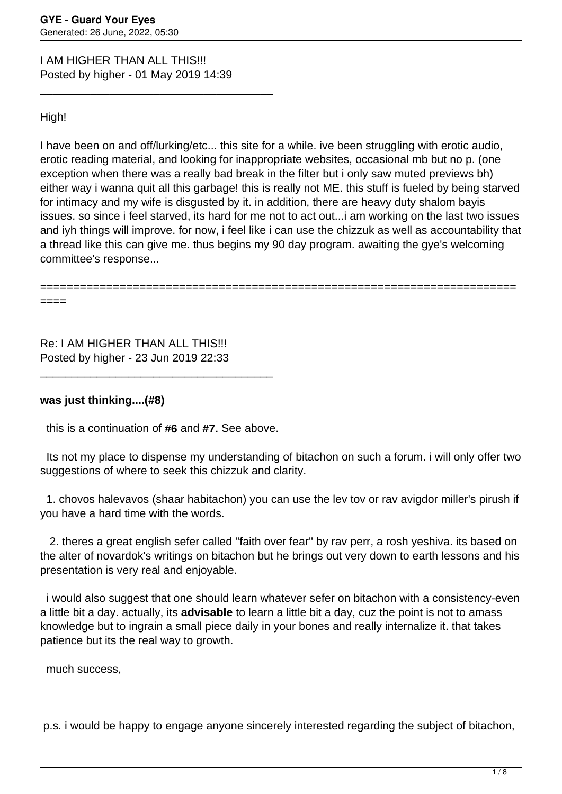I AM HIGHER THAN ALL THIS!!! Posted by higher - 01 May 2019 14:39

\_\_\_\_\_\_\_\_\_\_\_\_\_\_\_\_\_\_\_\_\_\_\_\_\_\_\_\_\_\_\_\_\_\_\_\_\_

## High!

I have been on and off/lurking/etc... this site for a while. ive been struggling with erotic audio, erotic reading material, and looking for inappropriate websites, occasional mb but no p. (one exception when there was a really bad break in the filter but i only saw muted previews bh) either way i wanna quit all this garbage! this is really not ME. this stuff is fueled by being starved for intimacy and my wife is disgusted by it. in addition, there are heavy duty shalom bayis issues. so since i feel starved, its hard for me not to act out...i am working on the last two issues and iyh things will improve. for now, i feel like i can use the chizzuk as well as accountability that a thread like this can give me. thus begins my 90 day program. awaiting the gye's welcoming committee's response...

========================================================================

====

Re: I AM HIGHER THAN ALL THIS!!! Posted by higher - 23 Jun 2019 22:33

## **was just thinking....(#8)**

this is a continuation of **#6** and **#7.** See above.

\_\_\_\_\_\_\_\_\_\_\_\_\_\_\_\_\_\_\_\_\_\_\_\_\_\_\_\_\_\_\_\_\_\_\_\_\_

 Its not my place to dispense my understanding of bitachon on such a forum. i will only offer two suggestions of where to seek this chizzuk and clarity.

 1. chovos halevavos (shaar habitachon) you can use the lev tov or rav avigdor miller's pirush if you have a hard time with the words.

 2. theres a great english sefer called ''faith over fear'' by rav perr, a rosh yeshiva. its based on the alter of novardok's writings on bitachon but he brings out very down to earth lessons and his presentation is very real and enjoyable.

 i would also suggest that one should learn whatever sefer on bitachon with a consistency-even a little bit a day. actually, its **advisable** to learn a little bit a day, cuz the point is not to amass knowledge but to ingrain a small piece daily in your bones and really internalize it. that takes patience but its the real way to growth.

much success,

p.s. i would be happy to engage anyone sincerely interested regarding the subject of bitachon,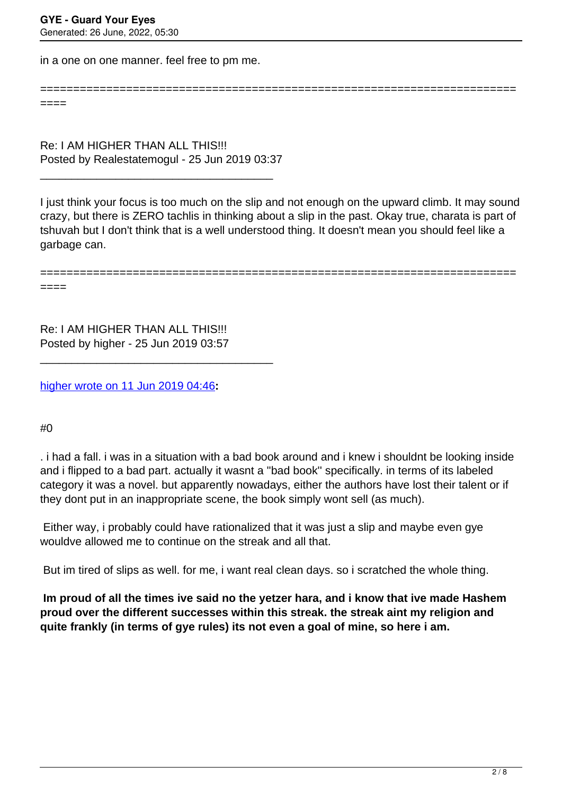in a one on one manner. feel free to pm me.

======================================================================== ====

Re: I AM HIGHER THAN ALL THIS!!! Posted by Realestatemogul - 25 Jun 2019 03:37

\_\_\_\_\_\_\_\_\_\_\_\_\_\_\_\_\_\_\_\_\_\_\_\_\_\_\_\_\_\_\_\_\_\_\_\_\_

I just think your focus is too much on the slip and not enough on the upward climb. It may sound crazy, but there is ZERO tachlis in thinking about a slip in the past. Okay true, charata is part of tshuvah but I don't think that is a well understood thing. It doesn't mean you should feel like a garbage can.

========================================================================

Re: I AM HIGHER THAN ALL THIS!!! Posted by higher - 25 Jun 2019 03:57

\_\_\_\_\_\_\_\_\_\_\_\_\_\_\_\_\_\_\_\_\_\_\_\_\_\_\_\_\_\_\_\_\_\_\_\_\_

[higher wrote on 11 Jun 2019 04:46](/forum/4-On-the-Way-to-90-Days/341690-Re-I-AM-HIGHER-THAN-ALL-THIS%21%21%21)**:**

#0

====

. i had a fall. i was in a situation with a bad book around and i knew i shouldnt be looking inside and i flipped to a bad part. actually it wasnt a ''bad book'' specifically. in terms of its labeled category it was a novel. but apparently nowadays, either the authors have lost their talent or if they dont put in an inappropriate scene, the book simply wont sell (as much).

 Either way, i probably could have rationalized that it was just a slip and maybe even gye wouldve allowed me to continue on the streak and all that.

But im tired of slips as well. for me, i want real clean days. so i scratched the whole thing.

 **Im proud of all the times ive said no the yetzer hara, and i know that ive made Hashem proud over the different successes within this streak. the streak aint my religion and quite frankly (in terms of gye rules) its not even a goal of mine, so here i am.**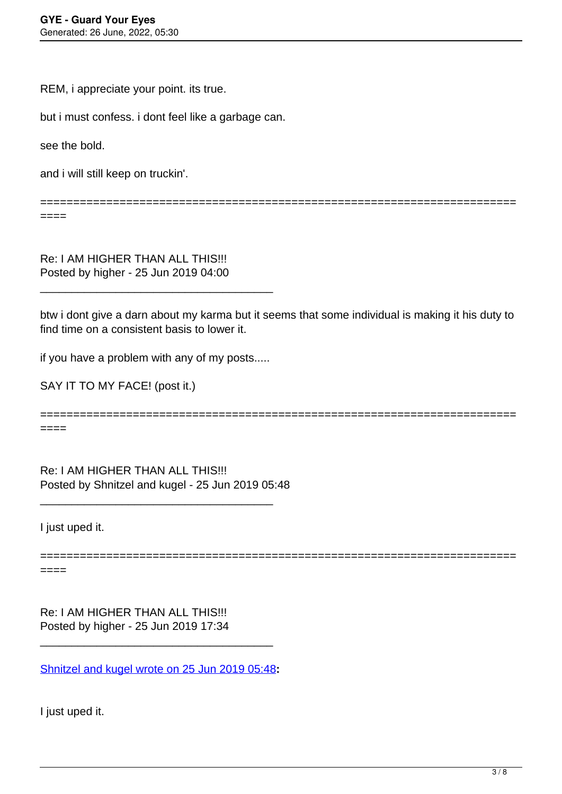REM, i appreciate your point. its true.

but i must confess. i dont feel like a garbage can.

see the bold.

and i will still keep on truckin'.

========================================================================

 $====$ 

Re: I AM HIGHER THAN ALL THIS!!! Posted by higher - 25 Jun 2019 04:00

btw i dont give a darn about my karma but it seems that some individual is making it his duty to find time on a consistent basis to lower it.

if you have a problem with any of my posts.....

\_\_\_\_\_\_\_\_\_\_\_\_\_\_\_\_\_\_\_\_\_\_\_\_\_\_\_\_\_\_\_\_\_\_\_\_\_

SAY IT TO MY FACE! (post it.)

========================================================================

====

Re: I AM HIGHER THAN ALL THIS!!! Posted by Shnitzel and kugel - 25 Jun 2019 05:48

\_\_\_\_\_\_\_\_\_\_\_\_\_\_\_\_\_\_\_\_\_\_\_\_\_\_\_\_\_\_\_\_\_\_\_\_\_

I just uped it.

======================================================================== ====

Re: I AM HIGHER THAN ALL THIS!!! Posted by higher - 25 Jun 2019 17:34

[Shnitzel and kugel wrote on 25 Jun 2019 05:48](/forum/4-On-the-Way-to-90-Days/341926-Re-I-AM-HIGHER-THAN-ALL-THIS%21%21%21)**:**

\_\_\_\_\_\_\_\_\_\_\_\_\_\_\_\_\_\_\_\_\_\_\_\_\_\_\_\_\_\_\_\_\_\_\_\_\_

I just uped it.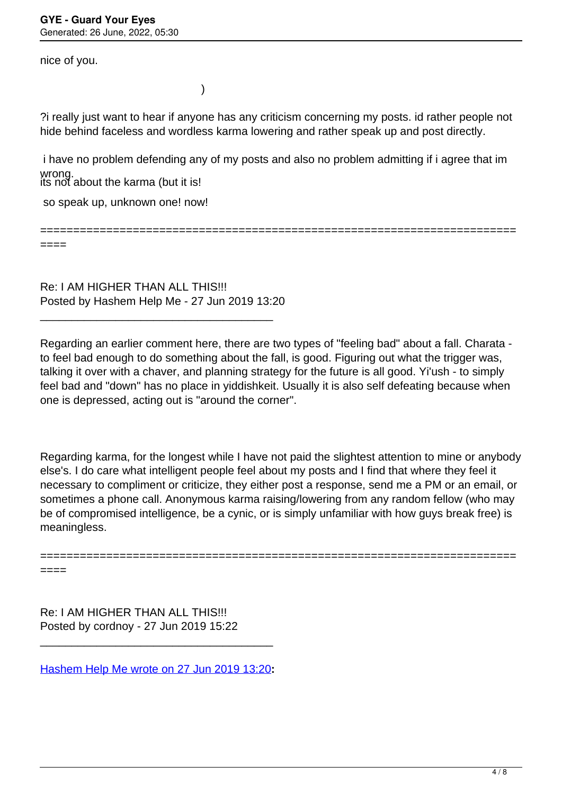nice of you.

)

?i really just want to hear if anyone has any criticism concerning my posts. id rather people not hide behind faceless and wordless karma lowering and rather speak up and post directly.

its not about the karma (but it is! i have no problem defending any of my posts and also no problem admitting if i agree that im wrong.

========================================================================

so speak up, unknown one! now!

====

====

Re: I AM HIGHER THAN ALL THIS!!! Posted by Hashem Help Me - 27 Jun 2019 13:20

\_\_\_\_\_\_\_\_\_\_\_\_\_\_\_\_\_\_\_\_\_\_\_\_\_\_\_\_\_\_\_\_\_\_\_\_\_

Regarding an earlier comment here, there are two types of "feeling bad" about a fall. Charata to feel bad enough to do something about the fall, is good. Figuring out what the trigger was, talking it over with a chaver, and planning strategy for the future is all good. Yi'ush - to simply feel bad and "down" has no place in yiddishkeit. Usually it is also self defeating because when one is depressed, acting out is "around the corner".

Regarding karma, for the longest while I have not paid the slightest attention to mine or anybody else's. I do care what intelligent people feel about my posts and I find that where they feel it necessary to compliment or criticize, they either post a response, send me a PM or an email, or sometimes a phone call. Anonymous karma raising/lowering from any random fellow (who may be of compromised intelligence, be a cynic, or is simply unfamiliar with how guys break free) is meaningless.

========================================================================

Re: I AM HIGHER THAN ALL THIS!!! Posted by cordnoy - 27 Jun 2019 15:22

[Hashem Help Me wrote on 27 Jun 2019 13:20](/forum/4-On-the-Way-to-90-Days/341973-Re-I-AM-HIGHER-THAN-ALL-THIS%21%21%21)**:**

\_\_\_\_\_\_\_\_\_\_\_\_\_\_\_\_\_\_\_\_\_\_\_\_\_\_\_\_\_\_\_\_\_\_\_\_\_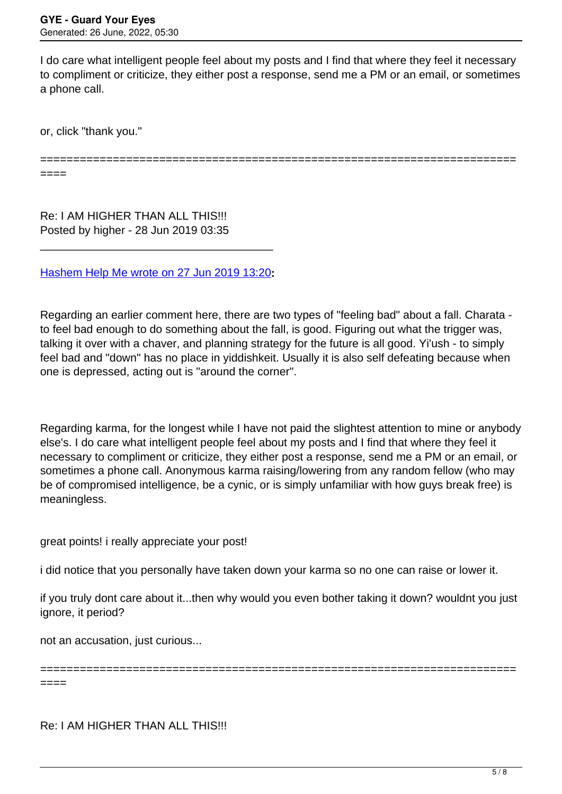I do care what intelligent people feel about my posts and I find that where they feel it necessary to compliment or criticize, they either post a response, send me a PM or an email, or sometimes a phone call.

or, click "thank you."

========================================================================

====

Re: I AM HIGHER THAN ALL THIS!!! Posted by higher - 28 Jun 2019 03:35

[Hashem Help Me wrote on 27 Jun 2019 13:20](/forum/4-On-the-Way-to-90-Days/341973-Re-I-AM-HIGHER-THAN-ALL-THIS%21%21%21)**:**

\_\_\_\_\_\_\_\_\_\_\_\_\_\_\_\_\_\_\_\_\_\_\_\_\_\_\_\_\_\_\_\_\_\_\_\_\_

Regarding an earlier comment here, there are two types of "feeling bad" about a fall. Charata to feel bad enough to do something about the fall, is good. Figuring out what the trigger was, talking it over with a chaver, and planning strategy for the future is all good. Yi'ush - to simply feel bad and "down" has no place in yiddishkeit. Usually it is also self defeating because when one is depressed, acting out is "around the corner".

Regarding karma, for the longest while I have not paid the slightest attention to mine or anybody else's. I do care what intelligent people feel about my posts and I find that where they feel it necessary to compliment or criticize, they either post a response, send me a PM or an email, or sometimes a phone call. Anonymous karma raising/lowering from any random fellow (who may be of compromised intelligence, be a cynic, or is simply unfamiliar with how guys break free) is meaningless.

great points! i really appreciate your post!

i did notice that you personally have taken down your karma so no one can raise or lower it.

if you truly dont care about it...then why would you even bother taking it down? wouldnt you just ignore, it period?

not an accusation, just curious...

========================================================================

====

Re: I AM HIGHER THAN ALL THIS!!!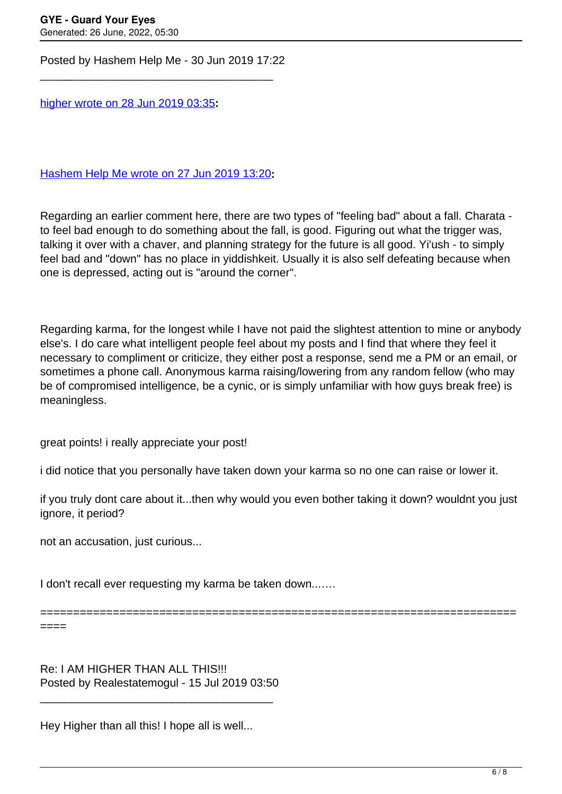Posted by Hashem Help Me - 30 Jun 2019 17:22

\_\_\_\_\_\_\_\_\_\_\_\_\_\_\_\_\_\_\_\_\_\_\_\_\_\_\_\_\_\_\_\_\_\_\_\_\_

[higher wrote on 28 Jun 2019 03:35](/forum/4-On-the-Way-to-90-Days/341984-Re-I-AM-HIGHER-THAN-ALL-THIS%21%21%21)**:**

[Hashem Help Me wrote on 27 Jun 2019 13:20](/forum/4-On-the-Way-to-90-Days/341973-Re-I-AM-HIGHER-THAN-ALL-THIS%21%21%21)**:**

Regarding an earlier comment here, there are two types of "feeling bad" about a fall. Charata to feel bad enough to do something about the fall, is good. Figuring out what the trigger was, talking it over with a chaver, and planning strategy for the future is all good. Yi'ush - to simply feel bad and "down" has no place in yiddishkeit. Usually it is also self defeating because when one is depressed, acting out is "around the corner".

Regarding karma, for the longest while I have not paid the slightest attention to mine or anybody else's. I do care what intelligent people feel about my posts and I find that where they feel it necessary to compliment or criticize, they either post a response, send me a PM or an email, or sometimes a phone call. Anonymous karma raising/lowering from any random fellow (who may be of compromised intelligence, be a cynic, or is simply unfamiliar with how guys break free) is meaningless.

great points! i really appreciate your post!

i did notice that you personally have taken down your karma so no one can raise or lower it.

if you truly dont care about it...then why would you even bother taking it down? wouldnt you just ignore, it period?

========================================================================

not an accusation, just curious...

I don't recall ever requesting my karma be taken down...….

====

Re: I AM HIGHER THAN ALL THIS!!! Posted by Realestatemogul - 15 Jul 2019 03:50

\_\_\_\_\_\_\_\_\_\_\_\_\_\_\_\_\_\_\_\_\_\_\_\_\_\_\_\_\_\_\_\_\_\_\_\_\_

Hey Higher than all this! I hope all is well...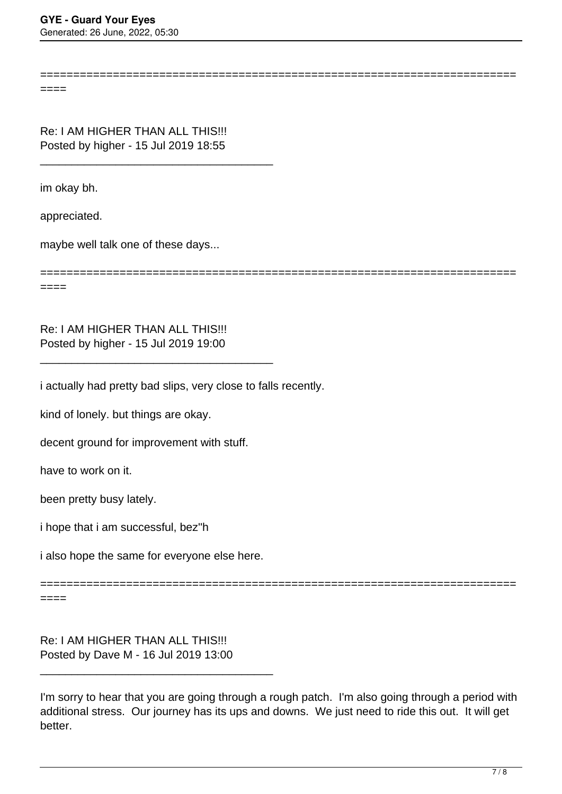========================================================================

====

Re: I AM HIGHER THAN ALL THIS!!! Posted by higher - 15 Jul 2019 18:55

\_\_\_\_\_\_\_\_\_\_\_\_\_\_\_\_\_\_\_\_\_\_\_\_\_\_\_\_\_\_\_\_\_\_\_\_\_

im okay bh.

appreciated.

====

maybe well talk one of these days...

========================================================================

Re: I AM HIGHER THAN ALL THIS!!! Posted by higher - 15 Jul 2019 19:00

\_\_\_\_\_\_\_\_\_\_\_\_\_\_\_\_\_\_\_\_\_\_\_\_\_\_\_\_\_\_\_\_\_\_\_\_\_

i actually had pretty bad slips, very close to falls recently.

kind of lonely. but things are okay.

decent ground for improvement with stuff.

have to work on it.

been pretty busy lately.

i hope that i am successful, bez''h

i also hope the same for everyone else here.

========================================================================

====

Re: I AM HIGHER THAN ALL THIS!!! Posted by Dave M - 16 Jul 2019 13:00

\_\_\_\_\_\_\_\_\_\_\_\_\_\_\_\_\_\_\_\_\_\_\_\_\_\_\_\_\_\_\_\_\_\_\_\_\_

I'm sorry to hear that you are going through a rough patch. I'm also going through a period with additional stress. Our journey has its ups and downs. We just need to ride this out. It will get better.